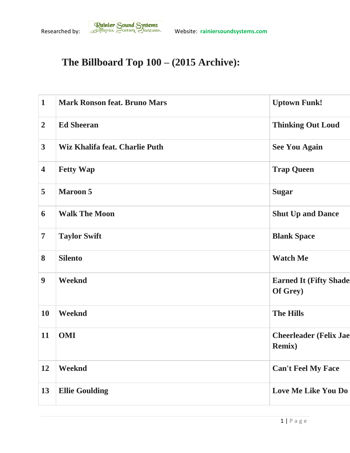## **The Billboard Top 100 – (2015 Archive):**

| $\mathbf{1}$            | <b>Mark Ronson feat. Bruno Mars</b> | <b>Uptown Funk!</b>                             |
|-------------------------|-------------------------------------|-------------------------------------------------|
| $\overline{2}$          | <b>Ed Sheeran</b>                   | <b>Thinking Out Loud</b>                        |
| $\overline{\mathbf{3}}$ | Wiz Khalifa feat. Charlie Puth      | <b>See You Again</b>                            |
| $\overline{\mathbf{4}}$ | <b>Fetty Wap</b>                    | <b>Trap Queen</b>                               |
| 5                       | <b>Maroon 5</b>                     | <b>Sugar</b>                                    |
| 6                       | <b>Walk The Moon</b>                | <b>Shut Up and Dance</b>                        |
| $\overline{7}$          | <b>Taylor Swift</b>                 | <b>Blank Space</b>                              |
| 8                       | <b>Silento</b>                      | <b>Watch Me</b>                                 |
| $\boldsymbol{9}$        | Weeknd                              | <b>Earned It (Fifty Shade</b><br>Of Grey)       |
| <b>10</b>               | Weeknd                              | <b>The Hills</b>                                |
| 11                      | <b>OMI</b>                          | <b>Cheerleader (Felix Jae</b><br><b>Remix</b> ) |
| 12                      | Weeknd                              | <b>Can't Feel My Face</b>                       |
| 13                      | <b>Ellie Goulding</b>               | Love Me Like You Do                             |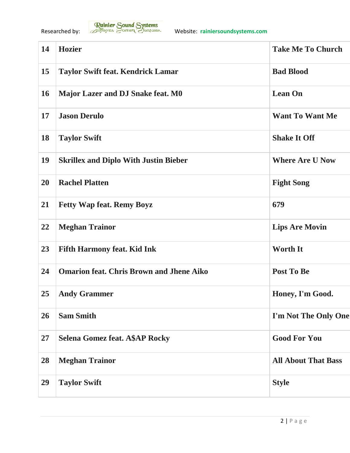| 14 | <b>Hozier</b>                                   | <b>Take Me To Church</b>   |
|----|-------------------------------------------------|----------------------------|
| 15 | <b>Taylor Swift feat. Kendrick Lamar</b>        | <b>Bad Blood</b>           |
| 16 | Major Lazer and DJ Snake feat. M0               | <b>Lean On</b>             |
| 17 | <b>Jason Derulo</b>                             | <b>Want To Want Me</b>     |
| 18 | <b>Taylor Swift</b>                             | <b>Shake It Off</b>        |
| 19 | <b>Skrillex and Diplo With Justin Bieber</b>    | <b>Where Are U Now</b>     |
| 20 | <b>Rachel Platten</b>                           | <b>Fight Song</b>          |
| 21 | <b>Fetty Wap feat. Remy Boyz</b>                | 679                        |
| 22 | <b>Meghan Trainor</b>                           | <b>Lips Are Movin</b>      |
| 23 | <b>Fifth Harmony feat. Kid Ink</b>              | <b>Worth It</b>            |
| 24 | <b>Omarion feat. Chris Brown and Jhene Aiko</b> | <b>Post To Be</b>          |
| 25 | <b>Andy Grammer</b>                             | Honey, I'm Good.           |
| 26 | <b>Sam Smith</b>                                | I'm Not The Only One       |
| 27 | <b>Selena Gomez feat. A\$AP Rocky</b>           | <b>Good For You</b>        |
| 28 | <b>Meghan Trainor</b>                           | <b>All About That Bass</b> |
| 29 | <b>Taylor Swift</b>                             | <b>Style</b>               |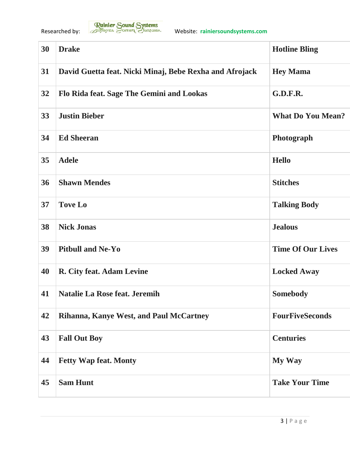| 30 | <b>Drake</b>                                            | <b>Hotline Bling</b>     |
|----|---------------------------------------------------------|--------------------------|
| 31 | David Guetta feat. Nicki Minaj, Bebe Rexha and Afrojack | <b>Hey Mama</b>          |
| 32 | Flo Rida feat. Sage The Gemini and Lookas               | <b>G.D.F.R.</b>          |
| 33 | <b>Justin Bieber</b>                                    | <b>What Do You Mean?</b> |
| 34 | <b>Ed Sheeran</b>                                       | Photograph               |
| 35 | <b>Adele</b>                                            | <b>Hello</b>             |
| 36 | <b>Shawn Mendes</b>                                     | <b>Stitches</b>          |
| 37 | <b>Tove Lo</b>                                          | <b>Talking Body</b>      |
| 38 | <b>Nick Jonas</b>                                       | <b>Jealous</b>           |
| 39 | <b>Pitbull and Ne-Yo</b>                                | <b>Time Of Our Lives</b> |
| 40 | R. City feat. Adam Levine                               | <b>Locked Away</b>       |
| 41 | <b>Natalie La Rose feat. Jeremih</b>                    | <b>Somebody</b>          |
| 42 | Rihanna, Kanye West, and Paul McCartney                 | <b>FourFiveSeconds</b>   |
| 43 | <b>Fall Out Boy</b>                                     | <b>Centuries</b>         |
| 44 | <b>Fetty Wap feat. Monty</b>                            | <b>My Way</b>            |
| 45 | <b>Sam Hunt</b>                                         | <b>Take Your Time</b>    |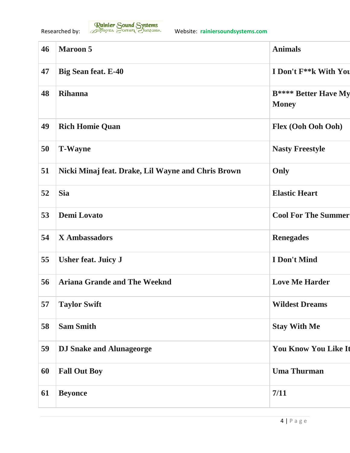

| 46 | <b>Maroon 5</b>                                    | <b>Animals</b>                              |
|----|----------------------------------------------------|---------------------------------------------|
| 47 | <b>Big Sean feat. E-40</b>                         | I Don't F <sup>**</sup> k With You          |
| 48 | <b>Rihanna</b>                                     | <b>B**** Better Have My</b><br><b>Money</b> |
| 49 | <b>Rich Homie Quan</b>                             | Flex (Ooh Ooh Ooh)                          |
| 50 | <b>T-Wayne</b>                                     | <b>Nasty Freestyle</b>                      |
| 51 | Nicki Minaj feat. Drake, Lil Wayne and Chris Brown | Only                                        |
| 52 | <b>Sia</b>                                         | <b>Elastic Heart</b>                        |
| 53 | <b>Demi Lovato</b>                                 | <b>Cool For The Summer</b>                  |
| 54 | <b>X</b> Ambassadors                               | <b>Renegades</b>                            |
| 55 | <b>Usher feat. Juicy J</b>                         | <b>I</b> Don't Mind                         |
| 56 | <b>Ariana Grande and The Weeknd</b>                | <b>Love Me Harder</b>                       |
| 57 | <b>Taylor Swift</b>                                | <b>Wildest Dreams</b>                       |
| 58 | <b>Sam Smith</b>                                   | <b>Stay With Me</b>                         |
| 59 | <b>DJ Snake and Alunageorge</b>                    | <b>You Know You Like It</b>                 |
| 60 | <b>Fall Out Boy</b>                                | <b>Uma Thurman</b>                          |
| 61 | <b>Beyonce</b>                                     | 7/11                                        |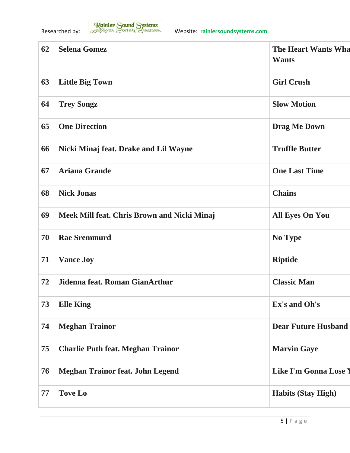| 62 | <b>Selena Gomez</b>                         | <b>The Heart Wants Wha</b><br><b>Wants</b> |
|----|---------------------------------------------|--------------------------------------------|
| 63 | <b>Little Big Town</b>                      | <b>Girl Crush</b>                          |
| 64 | <b>Trey Songz</b>                           | <b>Slow Motion</b>                         |
| 65 | <b>One Direction</b>                        | <b>Drag Me Down</b>                        |
| 66 | Nicki Minaj feat. Drake and Lil Wayne       | <b>Truffle Butter</b>                      |
| 67 | <b>Ariana Grande</b>                        | <b>One Last Time</b>                       |
| 68 | <b>Nick Jonas</b>                           | <b>Chains</b>                              |
| 69 | Meek Mill feat. Chris Brown and Nicki Minaj | <b>All Eyes On You</b>                     |
| 70 | <b>Rae Sremmurd</b>                         | No Type                                    |
| 71 | <b>Vance Joy</b>                            | <b>Riptide</b>                             |
| 72 | Jidenna feat. Roman GianArthur              | <b>Classic Man</b>                         |
| 73 | <b>Elle King</b>                            | Ex's and Oh's                              |
| 74 | <b>Meghan Trainor</b>                       | <b>Dear Future Husband</b>                 |
| 75 | <b>Charlie Puth feat. Meghan Trainor</b>    | <b>Marvin Gaye</b>                         |
| 76 | <b>Meghan Trainor feat. John Legend</b>     | <b>Like I'm Gonna Lose Y</b>               |
| 77 | <b>Tove Lo</b>                              | <b>Habits (Stay High)</b>                  |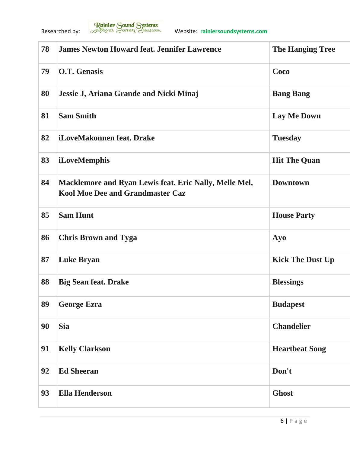

| 78 | <b>James Newton Howard feat. Jennifer Lawrence</b>                                                | <b>The Hanging Tree</b> |
|----|---------------------------------------------------------------------------------------------------|-------------------------|
| 79 | <b>O.T. Genasis</b>                                                                               | Coco                    |
| 80 | Jessie J, Ariana Grande and Nicki Minaj                                                           | <b>Bang Bang</b>        |
| 81 | <b>Sam Smith</b>                                                                                  | <b>Lay Me Down</b>      |
| 82 | iLoveMakonnen feat. Drake                                                                         | <b>Tuesday</b>          |
| 83 | iLoveMemphis                                                                                      | <b>Hit The Quan</b>     |
| 84 | Macklemore and Ryan Lewis feat. Eric Nally, Melle Mel,<br><b>Kool Moe Dee and Grandmaster Caz</b> | <b>Downtown</b>         |
| 85 | <b>Sam Hunt</b>                                                                                   | <b>House Party</b>      |
| 86 | <b>Chris Brown and Tyga</b>                                                                       | Ayo                     |
| 87 | <b>Luke Bryan</b>                                                                                 | <b>Kick The Dust Up</b> |
| 88 | <b>Big Sean feat. Drake</b>                                                                       | <b>Blessings</b>        |
| 89 | <b>George Ezra</b>                                                                                | <b>Budapest</b>         |
| 90 | <b>Sia</b>                                                                                        | <b>Chandelier</b>       |
| 91 | <b>Kelly Clarkson</b>                                                                             | <b>Heartbeat Song</b>   |
| 92 | <b>Ed Sheeran</b>                                                                                 | Don't                   |
| 93 | <b>Ella Henderson</b>                                                                             | <b>Ghost</b>            |